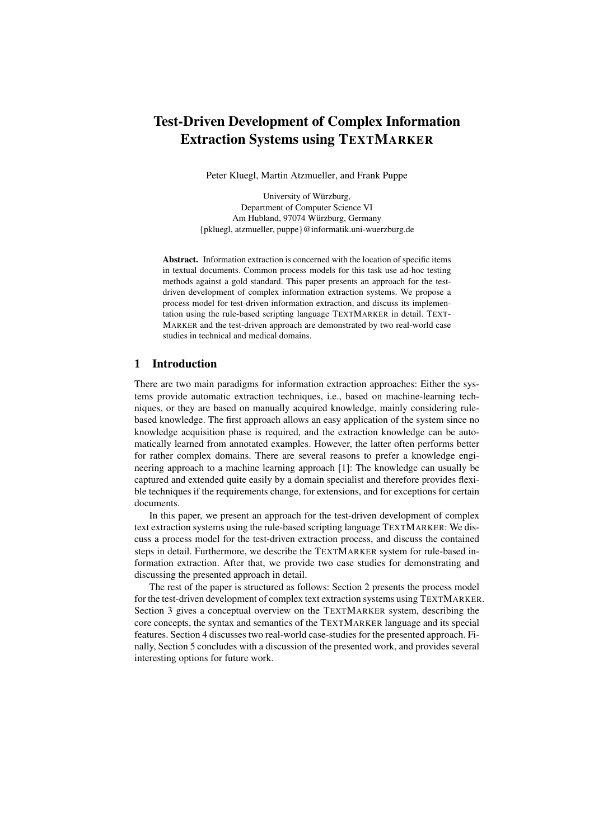# Test-Driven Development of Complex Information Extraction Systems using TEXTMARKER

Peter Kluegl, Martin Atzmueller, and Frank Puppe

University of Würzburg, Department of Computer Science VI Am Hubland, 97074 Würzburg, Germany {pkluegl, atzmueller, puppe}@informatik.uni-wuerzburg.de

Abstract. Information extraction is concerned with the location of specific items in textual documents. Common process models for this task use ad-hoc testing methods against a gold standard. This paper presents an approach for the testdriven development of complex information extraction systems. We propose a process model for test-driven information extraction, and discuss its implementation using the rule-based scripting language TEXTMARKER in detail. TEXT-MARKER and the test-driven approach are demonstrated by two real-world case studies in technical and medical domains.

## 1 Introduction

There are two main paradigms for information extraction approaches: Either the systems provide automatic extraction techniques, i.e., based on machine-learning techniques, or they are based on manually acquired knowledge, mainly considering rulebased knowledge. The first approach allows an easy application of the system since no knowledge acquisition phase is required, and the extraction knowledge can be automatically learned from annotated examples. However, the latter often performs better for rather complex domains. There are several reasons to prefer a knowledge engineering approach to a machine learning approach [1]: The knowledge can usually be captured and extended quite easily by a domain specialist and therefore provides flexible techniques if the requirements change, for extensions, and for exceptions for certain documents.

In this paper, we present an approach for the test-driven development of complex text extraction systems using the rule-based scripting language TEXTMARKER: We discuss a process model for the test-driven extraction process, and discuss the contained steps in detail. Furthermore, we describe the TEXTMARKER system for rule-based information extraction. After that, we provide two case studies for demonstrating and discussing the presented approach in detail.

The rest of the paper is structured as follows: Section 2 presents the process model for the test-driven development of complex text extraction systems using TEXTMARKER. Section 3 gives a conceptual overview on the TEXTMARKER system, describing the core concepts, the syntax and semantics of the TEXTMARKER language and its special features. Section 4 discusses two real-world case-studies for the presented approach. Finally, Section 5 concludes with a discussion of the presented work, and provides several interesting options for future work.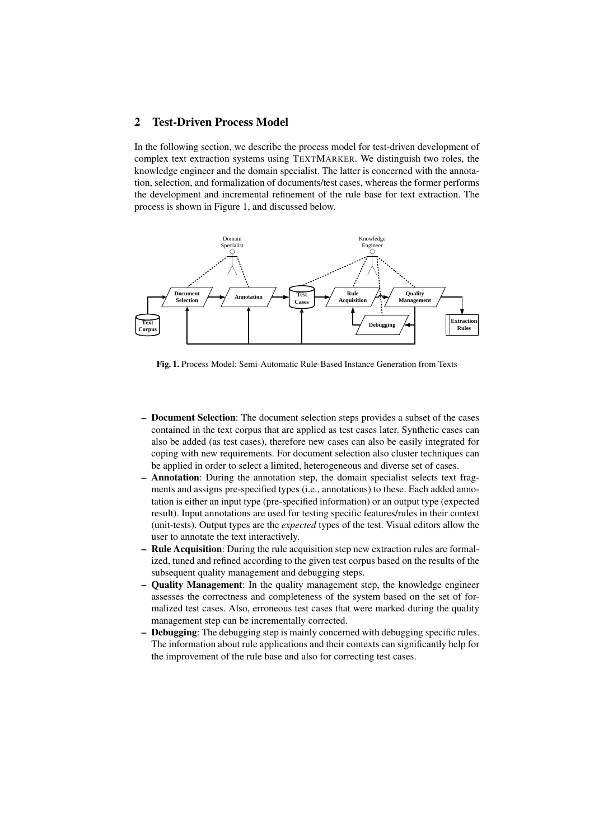# 2 Test-Driven Process Model

In the following section, we describe the process model for test-driven development of complex text extraction systems using TEXTMARKER. We distinguish two roles, the knowledge engineer and the domain specialist. The latter is concerned with the annotation, selection, and formalization of documents/test cases, whereas the former performs the development and incremental refinement of the rule base for text extraction. The process is shown in Figure 1, and discussed below.



Fig. 1. Process Model: Semi-Automatic Rule-Based Instance Generation from Texts

- Document Selection: The document selection steps provides a subset of the cases contained in the text corpus that are applied as test cases later. Synthetic cases can also be added (as test cases), therefore new cases can also be easily integrated for coping with new requirements. For document selection also cluster techniques can be applied in order to select a limited, heterogeneous and diverse set of cases.
- Annotation: During the annotation step, the domain specialist selects text fragments and assigns pre-specified types (i.e., annotations) to these. Each added annotation is either an input type (pre-specified information) or an output type (expected result). Input annotations are used for testing specific features/rules in their context (unit-tests). Output types are the *expected* types of the test. Visual editors allow the user to annotate the text interactively.
- Rule Acquisition: During the rule acquisition step new extraction rules are formalized, tuned and refined according to the given test corpus based on the results of the subsequent quality management and debugging steps.
- Quality Management: In the quality management step, the knowledge engineer assesses the correctness and completeness of the system based on the set of formalized test cases. Also, erroneous test cases that were marked during the quality management step can be incrementally corrected.
- Debugging: The debugging step is mainly concerned with debugging specific rules. The information about rule applications and their contexts can significantly help for the improvement of the rule base and also for correcting test cases.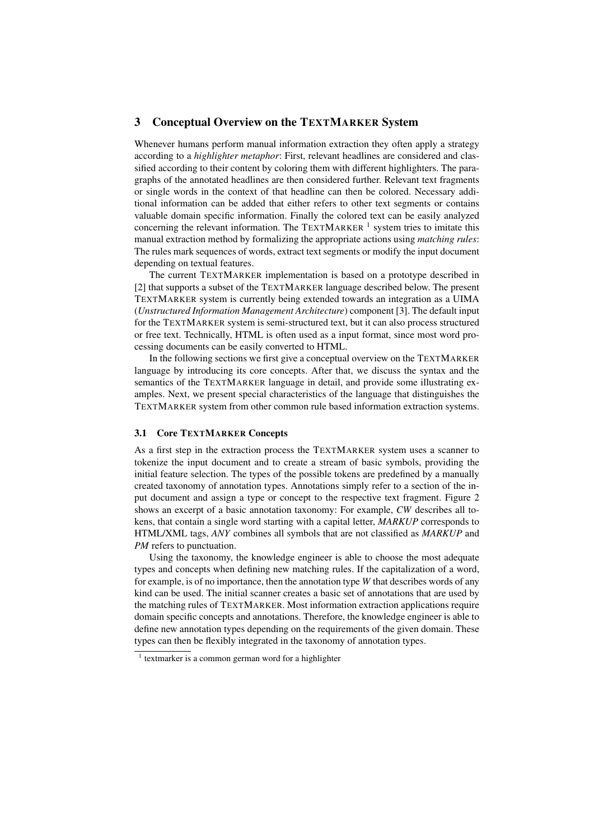# 3 Conceptual Overview on the TEXTMARKER System

Whenever humans perform manual information extraction they often apply a strategy according to a *highlighter metaphor*: First, relevant headlines are considered and classified according to their content by coloring them with different highlighters. The paragraphs of the annotated headlines are then considered further. Relevant text fragments or single words in the context of that headline can then be colored. Necessary additional information can be added that either refers to other text segments or contains valuable domain specific information. Finally the colored text can be easily analyzed concerning the relevant information. The TEXTMARKER  $<sup>1</sup>$  system tries to imitate this</sup> manual extraction method by formalizing the appropriate actions using *matching rules*: The rules mark sequences of words, extract text segments or modify the input document depending on textual features.

The current TEXTMARKER implementation is based on a prototype described in [2] that supports a subset of the TEXTMARKER language described below. The present TEXTMARKER system is currently being extended towards an integration as a UIMA (*Unstructured Information Management Architecture*) component [3]. The default input for the TEXTMARKER system is semi-structured text, but it can also process structured or free text. Technically, HTML is often used as a input format, since most word processing documents can be easily converted to HTML.

In the following sections we first give a conceptual overview on the TEXTMARKER language by introducing its core concepts. After that, we discuss the syntax and the semantics of the TEXTMARKER language in detail, and provide some illustrating examples. Next, we present special characteristics of the language that distinguishes the TEXTMARKER system from other common rule based information extraction systems.

### 3.1 Core TEXTMARKER Concepts

As a first step in the extraction process the TEXTMARKER system uses a scanner to tokenize the input document and to create a stream of basic symbols, providing the initial feature selection. The types of the possible tokens are predefined by a manually created taxonomy of annotation types. Annotations simply refer to a section of the input document and assign a type or concept to the respective text fragment. Figure 2 shows an excerpt of a basic annotation taxonomy: For example, *CW* describes all tokens, that contain a single word starting with a capital letter, *MARKUP* corresponds to HTML/XML tags, *ANY* combines all symbols that are not classified as *MARKUP* and *PM* refers to punctuation.

Using the taxonomy, the knowledge engineer is able to choose the most adequate types and concepts when defining new matching rules. If the capitalization of a word, for example, is of no importance, then the annotation type *W* that describes words of any kind can be used. The initial scanner creates a basic set of annotations that are used by the matching rules of TEXTMARKER. Most information extraction applications require domain specific concepts and annotations. Therefore, the knowledge engineer is able to define new annotation types depending on the requirements of the given domain. These types can then be flexibly integrated in the taxonomy of annotation types.

<sup>&</sup>lt;sup>1</sup> textmarker is a common german word for a highlighter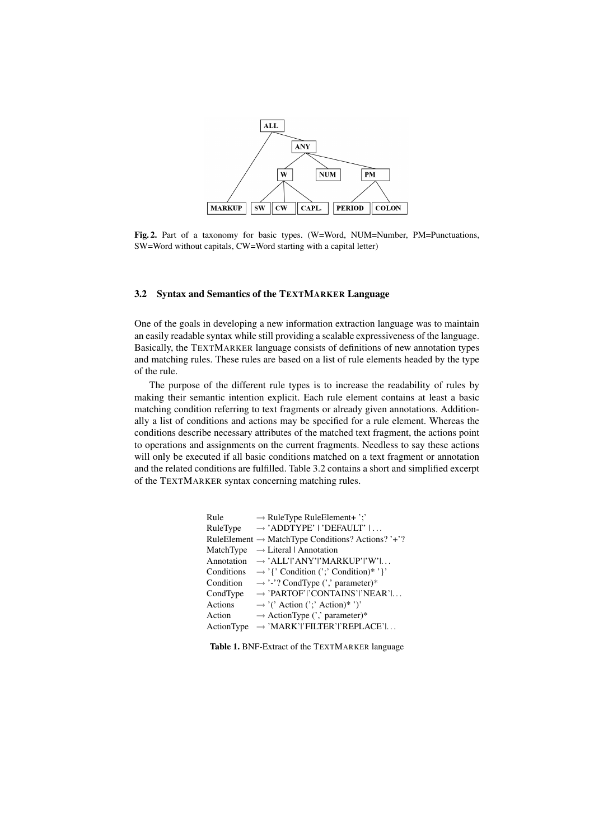

Fig. 2. Part of a taxonomy for basic types. (W=Word, NUM=Number, PM=Punctuations,  $SW=Word$ , where  $SW=Word$ ,  $SW=Word$ , where  $SW=Word$ , without capitals,  $CW=Word$  starting with a capital letter)

# 3.2 Syntax and Semantics of the TEXTMARKER Language

One of the goals in developing a new information extraction language was to maintain an easily readable syntax while still providing a scalable expressiveness of the language. Basically, the TEXTMARKER language consists of definitions of new annotation types  $T$ ypen zusammengefasst werden. Zu diesen  $T$ ypen zusammengefasst werden. Zu die sen  $T$ and matching rules. These rules are based on a list of rule elements headed by the type  $P(E)$  oder Doppelpunkt (Colon ). Den meisten dieser Typen sind aber Typen sind aber Typen sind aber Typen sind aber Typen sind aber Typen sind aber Typen sind aber Typen sind aber Typen sind aber Typen sind aber Typen sin of the rule.

The purpose of the different rule types is to increase the readability of rules by  $W_{\mu\nu}$  is a set of the state of  $W_{\mu\nu}$  in  $W_{\mu\nu}$  is the Abbildung 8.1. making their semantic intention explicit. Each rule element contains at least a basic matching condition referring to text fragments or already given annotations. Additionally a list of conditions and actions may be specified for a rule element. Whereas the  $\mathcal{L}_{\text{F}}$  some december  $\mathcal{L}_{\text{F}}$  some december  $\mathcal{L}_{\text{F}}$  is so we defined that from ante the estimate conditions describe necessary attributes of the matched text fragment, the actions point to operations and assignments on the current fragments. Needless to say these actions will only be executed if all basic conditions matched on a text fragment or annotation and the related conditions are fulfilled. Table 3.2 contains a short and simplified excerpt of the TEXTMARKER syntax concerning matching rules.

| Rule   | $\rightarrow$ RuleType RuleElement+';'                        |
|--------|---------------------------------------------------------------|
|        | $RuleType \rightarrow 'ADDTYPE'   'DEFAULT'   $               |
|        | RuleElement $\rightarrow$ MatchType Conditions? Actions? '+'? |
|        | MatchType $\rightarrow$ Literal   Annotation                  |
|        | Annotation $\rightarrow$ 'ALL' ANY' MARKUP' I' W'             |
|        | Conditions $\rightarrow$ '{' Condition (';' Condition)*'}'    |
|        | Condition $\rightarrow$ '-'? CondType (',' parameter)*        |
|        | CondType $\rightarrow$ 'PARTOF' 'CONTAINS' 'NEAR'             |
|        | Actions $\rightarrow$ '('Action (';'Action)*')'               |
| Action | $\rightarrow$ ActionType (',' parameter)*                     |
|        | $ActionType \rightarrow 'MARK'$  FILTER' 'REPLACE'            |

Table 1. BNF-Extract of the TEXTMARKER language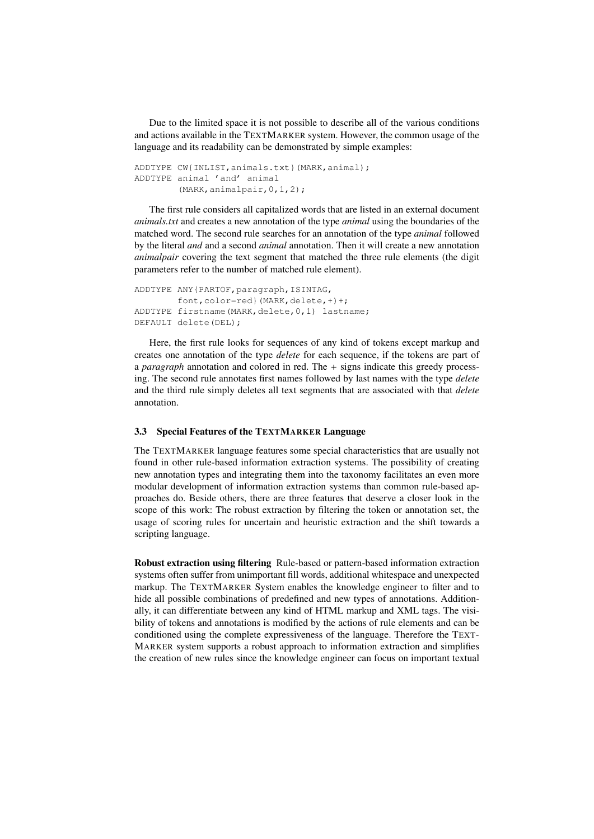Due to the limited space it is not possible to describe all of the various conditions and actions available in the TEXTMARKER system. However, the common usage of the language and its readability can be demonstrated by simple examples:

```
ADDTYPE CW{INLIST,animals.txt}(MARK,animal);
ADDTYPE animal 'and' animal
        (MARK,animalpair,0,1,2);
```
The first rule considers all capitalized words that are listed in an external document *animals.txt* and creates a new annotation of the type *animal* using the boundaries of the matched word. The second rule searches for an annotation of the type *animal* followed by the literal *and* and a second *animal* annotation. Then it will create a new annotation *animalpair* covering the text segment that matched the three rule elements (the digit parameters refer to the number of matched rule element).

```
ADDTYPE ANY{PARTOF,paragraph,ISINTAG,
        font,color=red}(MARK,delete,+)+;
ADDTYPE firstname(MARK,delete, 0, 1) lastname;
DEFAULT delete(DEL);
```
Here, the first rule looks for sequences of any kind of tokens except markup and creates one annotation of the type *delete* for each sequence, if the tokens are part of a *paragraph* annotation and colored in red. The *+* signs indicate this greedy processing. The second rule annotates first names followed by last names with the type *delete* and the third rule simply deletes all text segments that are associated with that *delete* annotation.

# 3.3 Special Features of the TEXTMARKER Language

The TEXTMARKER language features some special characteristics that are usually not found in other rule-based information extraction systems. The possibility of creating new annotation types and integrating them into the taxonomy facilitates an even more modular development of information extraction systems than common rule-based approaches do. Beside others, there are three features that deserve a closer look in the scope of this work: The robust extraction by filtering the token or annotation set, the usage of scoring rules for uncertain and heuristic extraction and the shift towards a scripting language.

Robust extraction using filtering Rule-based or pattern-based information extraction systems often suffer from unimportant fill words, additional whitespace and unexpected markup. The TEXTMARKER System enables the knowledge engineer to filter and to hide all possible combinations of predefined and new types of annotations. Additionally, it can differentiate between any kind of HTML markup and XML tags. The visibility of tokens and annotations is modified by the actions of rule elements and can be conditioned using the complete expressiveness of the language. Therefore the TEXT-MARKER system supports a robust approach to information extraction and simplifies the creation of new rules since the knowledge engineer can focus on important textual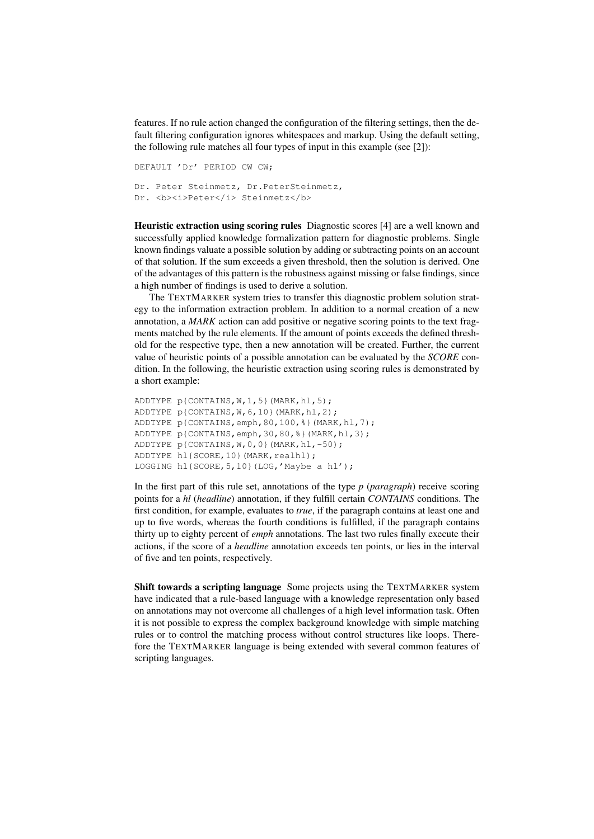features. If no rule action changed the configuration of the filtering settings, then the default filtering configuration ignores whitespaces and markup. Using the default setting, the following rule matches all four types of input in this example (see [2]):

```
DEFAULT 'Dr' PERIOD CW CW;
Dr. Peter Steinmetz, Dr.PeterSteinmetz,
Dr. <b><i>Peter</i> Steinmetz</b>
```
Heuristic extraction using scoring rules Diagnostic scores [4] are a well known and successfully applied knowledge formalization pattern for diagnostic problems. Single known findings valuate a possible solution by adding or subtracting points on an account of that solution. If the sum exceeds a given threshold, then the solution is derived. One of the advantages of this pattern is the robustness against missing or false findings, since a high number of findings is used to derive a solution.

The TEXTMARKER system tries to transfer this diagnostic problem solution strategy to the information extraction problem. In addition to a normal creation of a new annotation, a *MARK* action can add positive or negative scoring points to the text fragments matched by the rule elements. If the amount of points exceeds the defined threshold for the respective type, then a new annotation will be created. Further, the current value of heuristic points of a possible annotation can be evaluated by the *SCORE* condition. In the following, the heuristic extraction using scoring rules is demonstrated by a short example:

```
ADDTYPE p{CONTAINS, W, 1, 5} (MARK, hl, 5);
ADDTYPE p{CONTAINS,W,6,10}(MARK,hl,2);
ADDTYPE p{CONTAINS,emph,80,100,%}(MARK,hl,7);
ADDTYPE p{CONTAINS,emph,30,80,%}(MARK,hl,3);
ADDTYPE p{CONTAINS,W,0,0}(MARK,hl,-50);
ADDTYPE hl{SCORE, 10}(MARK, realhl);
LOGGING hl{SCORE,5,10}(LOG,'Maybe a hl');
```
In the first part of this rule set, annotations of the type *p* (*paragraph*) receive scoring points for a *hl* (*headline*) annotation, if they fulfill certain *CONTAINS* conditions. The first condition, for example, evaluates to *true*, if the paragraph contains at least one and up to five words, whereas the fourth conditions is fulfilled, if the paragraph contains thirty up to eighty percent of *emph* annotations. The last two rules finally execute their actions, if the score of a *headline* annotation exceeds ten points, or lies in the interval of five and ten points, respectively.

Shift towards a scripting language Some projects using the TEXTMARKER system have indicated that a rule-based language with a knowledge representation only based on annotations may not overcome all challenges of a high level information task. Often it is not possible to express the complex background knowledge with simple matching rules or to control the matching process without control structures like loops. Therefore the TEXTMARKER language is being extended with several common features of scripting languages.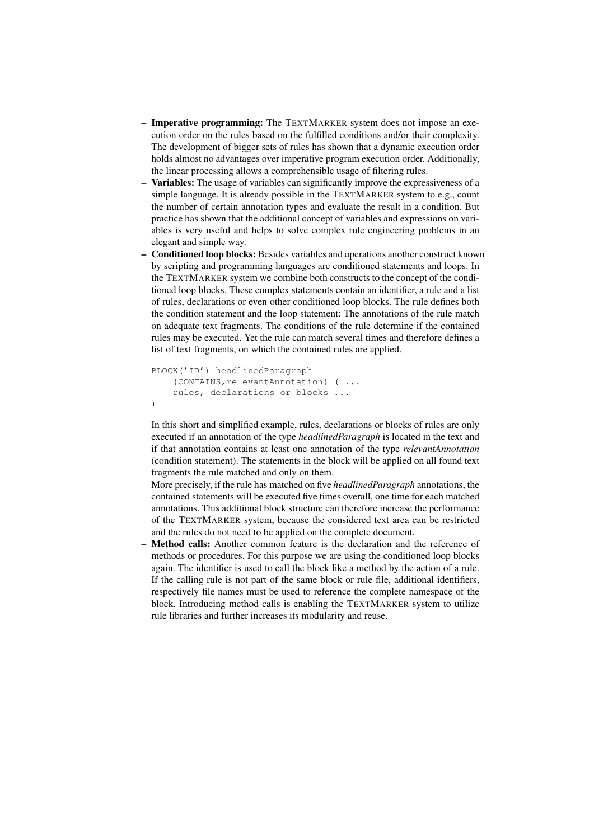- Imperative programming: The TEXTMARKER system does not impose an execution order on the rules based on the fulfilled conditions and/or their complexity. The development of bigger sets of rules has shown that a dynamic execution order holds almost no advantages over imperative program execution order. Additionally, the linear processing allows a comprehensible usage of filtering rules.
- Variables: The usage of variables can significantly improve the expressiveness of a simple language. It is already possible in the TEXTMARKER system to e.g., count the number of certain annotation types and evaluate the result in a condition. But practice has shown that the additional concept of variables and expressions on variables is very useful and helps to solve complex rule engineering problems in an elegant and simple way.
- Conditioned loop blocks: Besides variables and operations another construct known by scripting and programming languages are conditioned statements and loops. In the TEXTMARKER system we combine both constructs to the concept of the conditioned loop blocks. These complex statements contain an identifier, a rule and a list of rules, declarations or even other conditioned loop blocks. The rule defines both the condition statement and the loop statement: The annotations of the rule match on adequate text fragments. The conditions of the rule determine if the contained rules may be executed. Yet the rule can match several times and therefore defines a list of text fragments, on which the contained rules are applied.

```
BLOCK('ID') headlinedParagraph
    {CONTAINS,relevantAnnotation} ( ...
    rules, declarations or blocks ...
)
```
In this short and simplified example, rules, declarations or blocks of rules are only executed if an annotation of the type *headlinedParagraph* is located in the text and if that annotation contains at least one annotation of the type *relevantAnnotation* (condition statement). The statements in the block will be applied on all found text fragments the rule matched and only on them.

More precisely, if the rule has matched on five *headlinedParagraph* annotations, the contained statements will be executed five times overall, one time for each matched annotations. This additional block structure can therefore increase the performance of the TEXTMARKER system, because the considered text area can be restricted and the rules do not need to be applied on the complete document.

Method calls: Another common feature is the declaration and the reference of methods or procedures. For this purpose we are using the conditioned loop blocks again. The identifier is used to call the block like a method by the action of a rule. If the calling rule is not part of the same block or rule file, additional identifiers, respectively file names must be used to reference the complete namespace of the block. Introducing method calls is enabling the TEXTMARKER system to utilize rule libraries and further increases its modularity and reuse.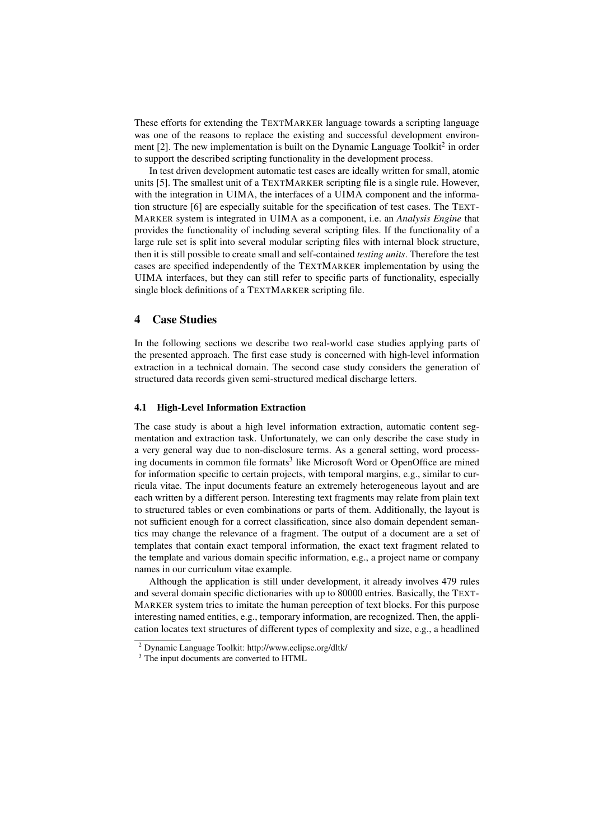These efforts for extending the TEXTMARKER language towards a scripting language was one of the reasons to replace the existing and successful development environment [2]. The new implementation is built on the Dynamic Language Toolkit<sup>2</sup> in order to support the described scripting functionality in the development process.

In test driven development automatic test cases are ideally written for small, atomic units [5]. The smallest unit of a TEXTMARKER scripting file is a single rule. However, with the integration in UIMA, the interfaces of a UIMA component and the information structure [6] are especially suitable for the specification of test cases. The TEXT-MARKER system is integrated in UIMA as a component, i.e. an *Analysis Engine* that provides the functionality of including several scripting files. If the functionality of a large rule set is split into several modular scripting files with internal block structure, then it is still possible to create small and self-contained *testing units*. Therefore the test cases are specified independently of the TEXTMARKER implementation by using the UIMA interfaces, but they can still refer to specific parts of functionality, especially single block definitions of a TEXTMARKER scripting file.

# 4 Case Studies

In the following sections we describe two real-world case studies applying parts of the presented approach. The first case study is concerned with high-level information extraction in a technical domain. The second case study considers the generation of structured data records given semi-structured medical discharge letters.

#### 4.1 High-Level Information Extraction

The case study is about a high level information extraction, automatic content segmentation and extraction task. Unfortunately, we can only describe the case study in a very general way due to non-disclosure terms. As a general setting, word processing documents in common file formats<sup>3</sup> like Microsoft Word or OpenOffice are mined for information specific to certain projects, with temporal margins, e.g., similar to curricula vitae. The input documents feature an extremely heterogeneous layout and are each written by a different person. Interesting text fragments may relate from plain text to structured tables or even combinations or parts of them. Additionally, the layout is not sufficient enough for a correct classification, since also domain dependent semantics may change the relevance of a fragment. The output of a document are a set of templates that contain exact temporal information, the exact text fragment related to the template and various domain specific information, e.g., a project name or company names in our curriculum vitae example.

Although the application is still under development, it already involves 479 rules and several domain specific dictionaries with up to 80000 entries. Basically, the TEXT-MARKER system tries to imitate the human perception of text blocks. For this purpose interesting named entities, e.g., temporary information, are recognized. Then, the application locates text structures of different types of complexity and size, e.g., a headlined

<sup>2</sup> Dynamic Language Toolkit: http://www.eclipse.org/dltk/

<sup>&</sup>lt;sup>3</sup> The input documents are converted to HTML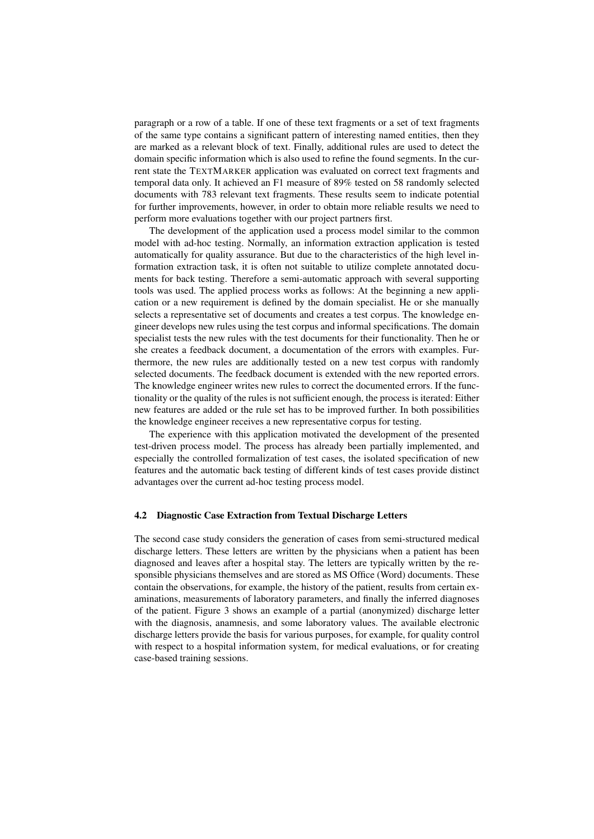paragraph or a row of a table. If one of these text fragments or a set of text fragments of the same type contains a significant pattern of interesting named entities, then they are marked as a relevant block of text. Finally, additional rules are used to detect the domain specific information which is also used to refine the found segments. In the current state the TEXTMARKER application was evaluated on correct text fragments and temporal data only. It achieved an F1 measure of 89% tested on 58 randomly selected documents with 783 relevant text fragments. These results seem to indicate potential for further improvements, however, in order to obtain more reliable results we need to perform more evaluations together with our project partners first.

The development of the application used a process model similar to the common model with ad-hoc testing. Normally, an information extraction application is tested automatically for quality assurance. But due to the characteristics of the high level information extraction task, it is often not suitable to utilize complete annotated documents for back testing. Therefore a semi-automatic approach with several supporting tools was used. The applied process works as follows: At the beginning a new application or a new requirement is defined by the domain specialist. He or she manually selects a representative set of documents and creates a test corpus. The knowledge engineer develops new rules using the test corpus and informal specifications. The domain specialist tests the new rules with the test documents for their functionality. Then he or she creates a feedback document, a documentation of the errors with examples. Furthermore, the new rules are additionally tested on a new test corpus with randomly selected documents. The feedback document is extended with the new reported errors. The knowledge engineer writes new rules to correct the documented errors. If the functionality or the quality of the rules is not sufficient enough, the process is iterated: Either new features are added or the rule set has to be improved further. In both possibilities the knowledge engineer receives a new representative corpus for testing.

The experience with this application motivated the development of the presented test-driven process model. The process has already been partially implemented, and especially the controlled formalization of test cases, the isolated specification of new features and the automatic back testing of different kinds of test cases provide distinct advantages over the current ad-hoc testing process model.

#### 4.2 Diagnostic Case Extraction from Textual Discharge Letters

The second case study considers the generation of cases from semi-structured medical discharge letters. These letters are written by the physicians when a patient has been diagnosed and leaves after a hospital stay. The letters are typically written by the responsible physicians themselves and are stored as MS Office (Word) documents. These contain the observations, for example, the history of the patient, results from certain examinations, measurements of laboratory parameters, and finally the inferred diagnoses of the patient. Figure 3 shows an example of a partial (anonymized) discharge letter with the diagnosis, anamnesis, and some laboratory values. The available electronic discharge letters provide the basis for various purposes, for example, for quality control with respect to a hospital information system, for medical evaluations, or for creating case-based training sessions.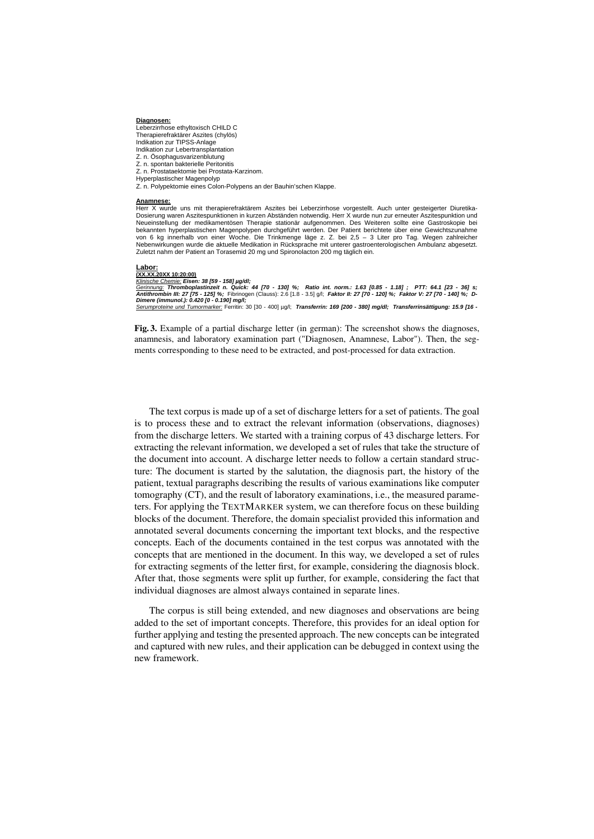#### **Diagnosen:**

Leberzirrhose ethyltoxisch CHILD C Therapierefraktärer Aszites (chylös) Indikation zur TIPSS-Anlage Indikation zur Lebertransplantation Z. n. Ösophagusvarizenblutung Z. n. spontan bakterielle Peritonitis Z. n. Prostataektomie bei Prostata-Karzinom. Hyperplastischer Magenpolyp Z. n. Polypektomie eines Colon-Polypens an der Bauhin'schen Klappe.

#### **Anamnese:**

Herr X wurde uns mit therapierefraktärem Aszites bei Leberzirrhose vorgestellt. Auch unter gesteigerter Diuretika-<br>Dosierung waren Aszitespunktionen in kurzen Abständen notwendig. Herr X wurde nun zur erneuter Aszitespunkt Neueinstellung der medikamentösen Therapie stationär aufgenommen. Des Weiteren sollte eine Gastroskopie bei bekannten hyperplastischen Magenpolypen durchgeführt werden. Der Patient berichtete über eine Gewichtszunahme von 6 kg innerhalb von einer Woche. Die Trinkmenge läge z. Z. bei 2,5 – 3 Liter pro Tag. Wegen zahlreicher Nebenwirkungen wurde die aktuelle Medikation in Rücksprache mit unterer gastroenterologischen Ambulanz abgesetzt. Zuletzt nahm der Patient an Torasemid 20 mg und Spironolacton 200 mg täglich ein.

# **Labor:**

**(XX.XX.20XX 10:20:00)**

K<u>linische Chemie:</u> Eisen: 38 [59 - 158] µg/dl;<br><u>Gerinnung:</u> Thromboplastinzeit n. Quick: 44 [70 - 130] %; Ratio int. norm.: 1.63 [0.85 - 1.18] ; PTT: 64.1 [23 - 36] s;<br>Antithrombin III: 27 [75 - 125] %; Fibrinogen (Clauss *Dimere (immunol.): 0.420 [0 - 0.190] mg/l; Serumproteine und Tumormarker:* Ferritin: 30 [30 - 400] µg/l; *Transferrin: 169 [200 - 380] mg/dl; Transferrinsättigung: 15.9 [16 -* 

Fig. 3. Example of a partial discharge letter (in german): The screenshot shows the diagnoses, anamnesis, and laboratory examination part ("Diagnosen, Anamnese, Labor"). Then, the segments corresponding to these need to be extracted, and post-processed for data extraction.

The text corpus is made up of a set of discharge letters for a set of patients. The goal is to process these and to extract the relevant information (observations, diagnoses) from the discharge letters. We started with a training corpus of 43 discharge letters. For extracting the relevant information, we developed a set of rules that take the structure of the document into account. A discharge letter needs to follow a certain standard structure: The document is started by the salutation, the diagnosis part, the history of the patient, textual paragraphs describing the results of various examinations like computer tomography (CT), and the result of laboratory examinations, i.e., the measured parameters. For applying the TEXTMARKER system, we can therefore focus on these building blocks of the document. Therefore, the domain specialist provided this information and annotated several documents concerning the important text blocks, and the respective concepts. Each of the documents contained in the test corpus was annotated with the concepts that are mentioned in the document. In this way, we developed a set of rules for extracting segments of the letter first, for example, considering the diagnosis block. After that, those segments were split up further, for example, considering the fact that individual diagnoses are almost always contained in separate lines.

The corpus is still being extended, and new diagnoses and observations are being added to the set of important concepts. Therefore, this provides for an ideal option for further applying and testing the presented approach. The new concepts can be integrated and captured with new rules, and their application can be debugged in context using the new framework.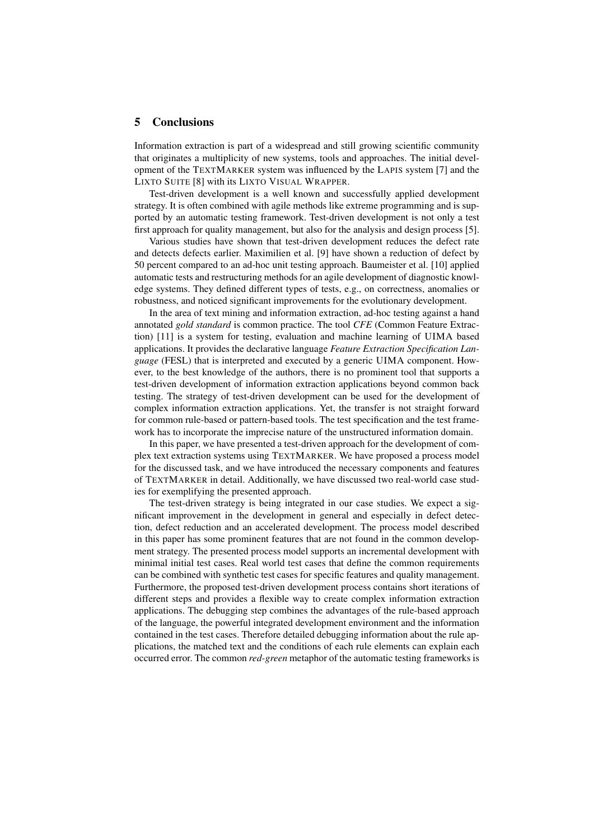## 5 Conclusions

Information extraction is part of a widespread and still growing scientific community that originates a multiplicity of new systems, tools and approaches. The initial development of the TEXTMARKER system was influenced by the LAPIS system [7] and the LIXTO SUITE [8] with its LIXTO VISUAL WRAPPER.

Test-driven development is a well known and successfully applied development strategy. It is often combined with agile methods like extreme programming and is supported by an automatic testing framework. Test-driven development is not only a test first approach for quality management, but also for the analysis and design process [5].

Various studies have shown that test-driven development reduces the defect rate and detects defects earlier. Maximilien et al. [9] have shown a reduction of defect by 50 percent compared to an ad-hoc unit testing approach. Baumeister et al. [10] applied automatic tests and restructuring methods for an agile development of diagnostic knowledge systems. They defined different types of tests, e.g., on correctness, anomalies or robustness, and noticed significant improvements for the evolutionary development.

In the area of text mining and information extraction, ad-hoc testing against a hand annotated *gold standard* is common practice. The tool *CFE* (Common Feature Extraction) [11] is a system for testing, evaluation and machine learning of UIMA based applications. It provides the declarative language *Feature Extraction Specification Language* (FESL) that is interpreted and executed by a generic UIMA component. However, to the best knowledge of the authors, there is no prominent tool that supports a test-driven development of information extraction applications beyond common back testing. The strategy of test-driven development can be used for the development of complex information extraction applications. Yet, the transfer is not straight forward for common rule-based or pattern-based tools. The test specification and the test framework has to incorporate the imprecise nature of the unstructured information domain.

In this paper, we have presented a test-driven approach for the development of complex text extraction systems using TEXTMARKER. We have proposed a process model for the discussed task, and we have introduced the necessary components and features of TEXTMARKER in detail. Additionally, we have discussed two real-world case studies for exemplifying the presented approach.

The test-driven strategy is being integrated in our case studies. We expect a significant improvement in the development in general and especially in defect detection, defect reduction and an accelerated development. The process model described in this paper has some prominent features that are not found in the common development strategy. The presented process model supports an incremental development with minimal initial test cases. Real world test cases that define the common requirements can be combined with synthetic test cases for specific features and quality management. Furthermore, the proposed test-driven development process contains short iterations of different steps and provides a flexible way to create complex information extraction applications. The debugging step combines the advantages of the rule-based approach of the language, the powerful integrated development environment and the information contained in the test cases. Therefore detailed debugging information about the rule applications, the matched text and the conditions of each rule elements can explain each occurred error. The common *red-green* metaphor of the automatic testing frameworks is